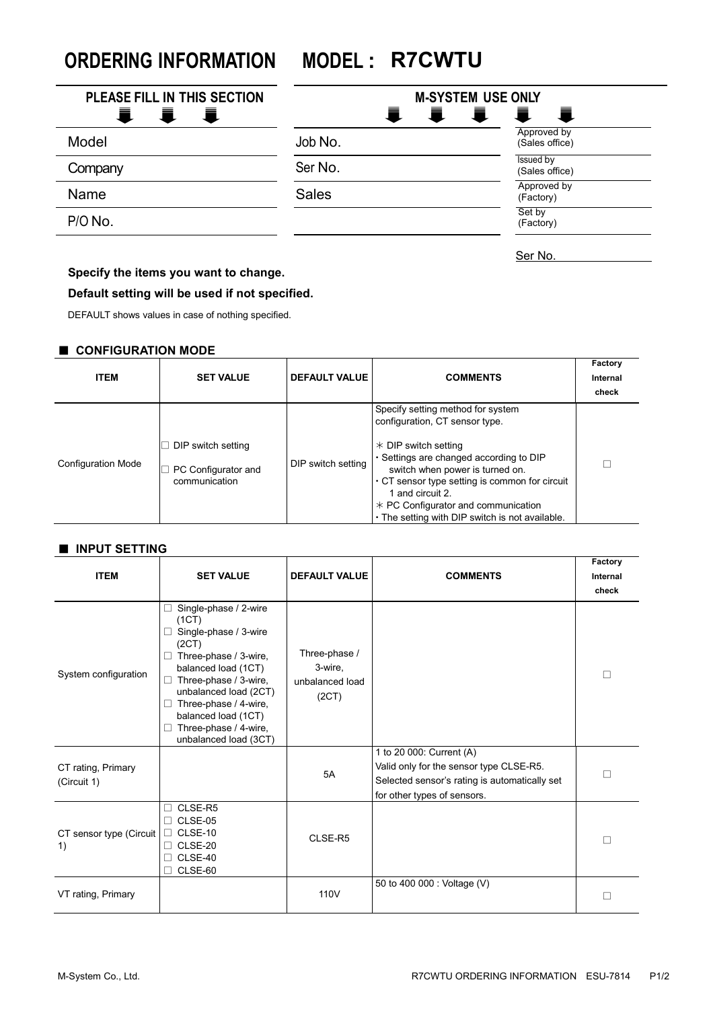**ORDERING INFORMATION MODEL : R7CWTU**

| PLEASE FILL IN THIS SECTION | <b>M-SYSTEM USE ONLY</b> |                               |  |
|-----------------------------|--------------------------|-------------------------------|--|
| a a se<br>一直                | Ħ<br>Ħ.                  | ī<br>量                        |  |
| Model                       | Job No.                  | Approved by<br>(Sales office) |  |
| Company                     | Ser No.                  | Issued by<br>(Sales office)   |  |
| Name                        | <b>Sales</b>             | Approved by<br>(Factory)      |  |
| P/O No.                     |                          | Set by<br>(Factory)           |  |
|                             |                          | Ser No.                       |  |

### **Specify the items you want to change.**

#### **Default setting will be used if not specified.**

DEFAULT shows values in case of nothing specified.

#### ■ **CONFIGURATION MODE**

| <b>ITEM</b>               | <b>SET VALUE</b>                                           | <b>DEFAULT VALUE</b> | <b>COMMENTS</b>                                                                                                                                                                                                                                                                                                                                     | Factory<br>Internal<br>check |
|---------------------------|------------------------------------------------------------|----------------------|-----------------------------------------------------------------------------------------------------------------------------------------------------------------------------------------------------------------------------------------------------------------------------------------------------------------------------------------------------|------------------------------|
| <b>Configuration Mode</b> | DIP switch setting<br>PC Configurator and<br>communication | DIP switch setting   | Specify setting method for system<br>configuration, CT sensor type.<br>$*$ DIP switch setting<br>· Settings are changed according to DIP<br>switch when power is turned on.<br>$\cdot$ CT sensor type setting is common for circuit<br>1 and circuit 2.<br>$*$ PC Configurator and communication<br>. The setting with DIP switch is not available. |                              |

#### ■ **INPUT SETTING**

| <b>ITEM</b>                       | <b>SET VALUE</b>                                                                                                                                                                                                                                                                              | <b>DEFAULT VALUE</b>                                 | <b>COMMENTS</b>                                                                                                                                     | Factory<br>Internal<br>check |
|-----------------------------------|-----------------------------------------------------------------------------------------------------------------------------------------------------------------------------------------------------------------------------------------------------------------------------------------------|------------------------------------------------------|-----------------------------------------------------------------------------------------------------------------------------------------------------|------------------------------|
| System configuration              | Single-phase / 2-wire<br>П<br>(1CT)<br>Single-phase / 3-wire<br>□<br>(2CT)<br>Three-phase / 3-wire,<br>u<br>balanced load (1CT)<br>Three-phase / 3-wire,<br>□<br>unbalanced load (2CT)<br>Three-phase / 4-wire,<br>H<br>balanced load (1CT)<br>Three-phase / 4-wire,<br>unbalanced load (3CT) | Three-phase /<br>3-wire,<br>unbalanced load<br>(2CT) |                                                                                                                                                     |                              |
| CT rating, Primary<br>(Circuit 1) |                                                                                                                                                                                                                                                                                               | 5A                                                   | 1 to 20 000: Current (A)<br>Valid only for the sensor type CLSE-R5.<br>Selected sensor's rating is automatically set<br>for other types of sensors. | П                            |
| CT sensor type (Circuit<br>1)     | CLSE-R5<br>П<br>CLSE-05<br>□<br>CLSE-10<br>$\Box$<br>$\Box$ CLSE-20<br>CLSE-40<br>CLSE-60                                                                                                                                                                                                     | CLSE-R5                                              |                                                                                                                                                     | г                            |
| VT rating, Primary                |                                                                                                                                                                                                                                                                                               | 110V                                                 | 50 to 400 000 : Voltage (V)                                                                                                                         |                              |